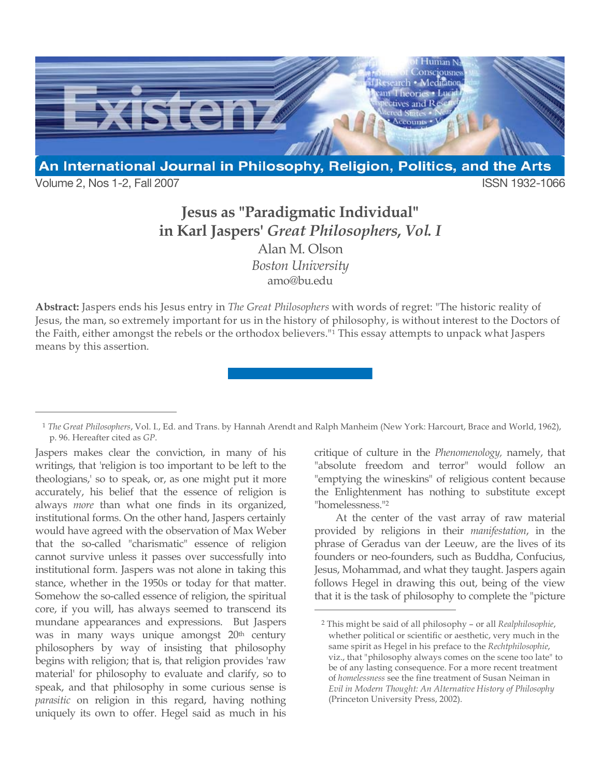

Volume 2, Nos 1-2, Fall 2007 **ISSN 1932-1066** 

 $\overline{a}$ 

## **Jesus as "Paradigmatic Individual" in Karl Jaspers'** *Great Philosophers***,** *Vol. I* Alan M. Olson *Boston University* amo@bu.edu

**Abstract:** Jaspers ends his Jesus entry in *The Great Philosophers* with words of regret: "The historic reality of Jesus, the man, so extremely important for us in the history of philosophy, is without interest to the Doctors of the Faith, either amongst the rebels or the orthodox believers."1 This essay attempts to unpack what Jaspers means by this assertion.

 $\overline{a}$ 

Jaspers makes clear the conviction, in many of his writings, that 'religion is too important to be left to the theologians,' so to speak, or, as one might put it more accurately, his belief that the essence of religion is always *more* than what one finds in its organized, institutional forms. On the other hand, Jaspers certainly would have agreed with the observation of Max Weber that the so-called "charismatic" essence of religion cannot survive unless it passes over successfully into institutional form. Jaspers was not alone in taking this stance, whether in the 1950s or today for that matter. Somehow the so-called essence of religion, the spiritual core, if you will, has always seemed to transcend its mundane appearances and expressions. But Jaspers was in many ways unique amongst 20<sup>th</sup> century philosophers by way of insisting that philosophy begins with religion; that is, that religion provides 'raw material' for philosophy to evaluate and clarify, so to speak, and that philosophy in some curious sense is *parasitic* on religion in this regard, having nothing uniquely its own to offer. Hegel said as much in his

critique of culture in the *Phenomenology,* namely, that "absolute freedom and terror" would follow an "emptying the wineskins" of religious content because the Enlightenment has nothing to substitute except "homelessness."2

At the center of the vast array of raw material provided by religions in their *manifestation*, in the phrase of Geradus van der Leeuw, are the lives of its founders or neo-founders, such as Buddha, Confucius, Jesus, Mohammad, and what they taught. Jaspers again follows Hegel in drawing this out, being of the view that it is the task of philosophy to complete the "picture

<sup>1</sup> *The Great Philosophers*, Vol. I., Ed. and Trans. by Hannah Arendt and Ralph Manheim (New York: Harcourt, Brace and World, 1962), p. 96. Hereafter cited as *GP*.

<sup>2</sup> This might be said of all philosophy – or all *Realphilosophie*, whether political or scientific or aesthetic, very much in the same spirit as Hegel in his preface to the *Rechtphilosophie*, viz., that "philosophy always comes on the scene too late" to be of any lasting consequence. For a more recent treatment of *homelessness* see the fine treatment of Susan Neiman in *Evil in Modern Thought: An Alternative History of Philosophy* (Princeton University Press, 2002).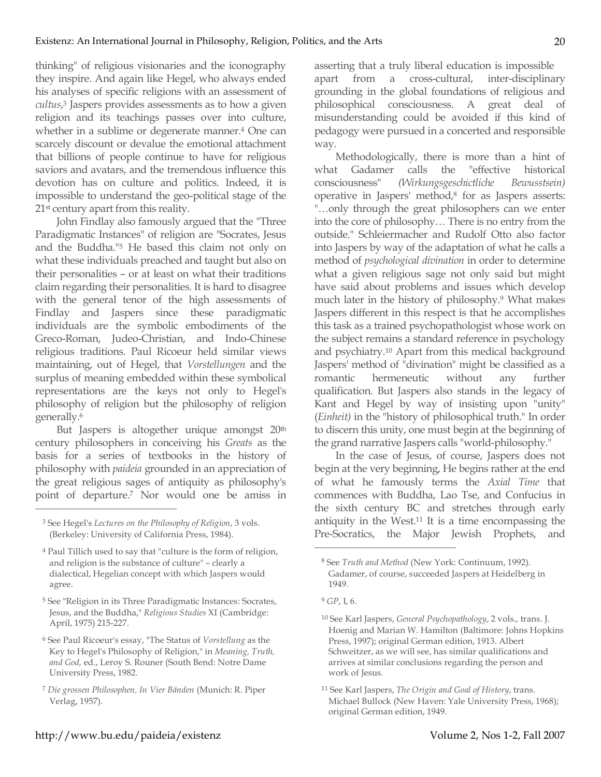thinking" of religious visionaries and the iconography they inspire. And again like Hegel, who always ended his analyses of specific religions with an assessment of *cultus*, <sup>3</sup> Jaspers provides assessments as to how a given religion and its teachings passes over into culture, whether in a sublime or degenerate manner.<sup>4</sup> One can scarcely discount or devalue the emotional attachment that billions of people continue to have for religious saviors and avatars, and the tremendous influence this devotion has on culture and politics. Indeed, it is impossible to understand the geo-political stage of the 21st century apart from this reality.

John Findlay also famously argued that the "Three Paradigmatic Instances" of religion are "Socrates, Jesus and the Buddha."5 He based this claim not only on what these individuals preached and taught but also on their personalities – or at least on what their traditions claim regarding their personalities. It is hard to disagree with the general tenor of the high assessments of Findlay and Jaspers since these paradigmatic individuals are the symbolic embodiments of the Greco-Roman, Judeo-Christian, and Indo-Chinese religious traditions. Paul Ricoeur held similar views maintaining, out of Hegel, that *Vorstellungen* and the surplus of meaning embedded within these symbolical representations are the keys not only to Hegel's philosophy of religion but the philosophy of religion generally. 6

But Jaspers is altogether unique amongst 20<sup>th</sup> century philosophers in conceiving his *Greats* as the basis for a series of textbooks in the history of philosophy with *paideia* grounded in an appreciation of the great religious sages of antiquity as philosophy's point of departure.7 Nor would one be amiss in

 $\overline{a}$ 

- <sup>5</sup> See "Religion in its Three Paradigmatic Instances: Socrates, Jesus, and the Buddha," *Religious Studies* XI (Cambridge: April, 1975) 215-227.
- <sup>6</sup> See Paul Ricoeur's essay, "The Status of *Vorstellung* as the Key to Hegel's Philosophy of Religion," in *Meaning, Truth, and God,* ed., Leroy S. Rouner (South Bend: Notre Dame University Press, 1982.

asserting that a truly liberal education is impossible apart from a cross-cultural, inter-disciplinary grounding in the global foundations of religious and philosophical consciousness. A great deal of misunderstanding could be avoided if this kind of pedagogy were pursued in a concerted and responsible way.

Methodologically, there is more than a hint of what Gadamer calls the "effective historical consciousness" *(Wirkungsgeschictliche Bewusstsein)* operative in Jaspers' method,8 for as Jaspers asserts: "…only through the great philosophers can we enter into the core of philosophy… There is no entry from the outside." Schleiermacher and Rudolf Otto also factor into Jaspers by way of the adaptation of what he calls a method of *psychological divination* in order to determine what a given religious sage not only said but might have said about problems and issues which develop much later in the history of philosophy.9 What makes Jaspers different in this respect is that he accomplishes this task as a trained psychopathologist whose work on the subject remains a standard reference in psychology and psychiatry.10 Apart from this medical background Jaspers' method of "divination" might be classified as a romantic hermeneutic without any further qualification. But Jaspers also stands in the legacy of Kant and Hegel by way of insisting upon "unity" (*Einheit)* in the "history of philosophical truth." In order to discern this unity, one must begin at the beginning of the grand narrative Jaspers calls "world-philosophy."

In the case of Jesus, of course, Jaspers does not begin at the very beginning, He begins rather at the end of what he famously terms the *Axial Time* that commences with Buddha, Lao Tse, and Confucius in the sixth century BC and stretches through early antiquity in the West.11 It is a time encompassing the Pre-Socratics, the Major Jewish Prophets, and

<sup>3</sup> See Hegel's *Lectures on the Philosophy of Religion*, 3 vols. (Berkeley: University of California Press, 1984).

<sup>4</sup> Paul Tillich used to say that "culture is the form of religion, and religion is the substance of culture" – clearly a dialectical, Hegelian concept with which Jaspers would agree.

<sup>7</sup> *Die grossen Philosophen, In Vier Bänden* (Munich: R. Piper Verlag, 1957).

<sup>8</sup> See *Truth and Method* (New York: Continuum, 1992). Gadamer, of course, succeeded Jaspers at Heidelberg in 1949.

<sup>9</sup> *GP*, I, 6.

<sup>10</sup> See Karl Jaspers, *General Psychopathology*, 2 vols., trans. J. Hoenig and Marian W. Hamilton (Baltimore: Johns Hopkins Press, 1997); original German edition, 1913. Albert Schweitzer, as we will see, has similar qualifications and arrives at similar conclusions regarding the person and work of Jesus.

<sup>11</sup> See Karl Jaspers, *The Origin and Goal of History*, trans. Michael Bullock (New Haven: Yale University Press, 1968); original German edition, 1949.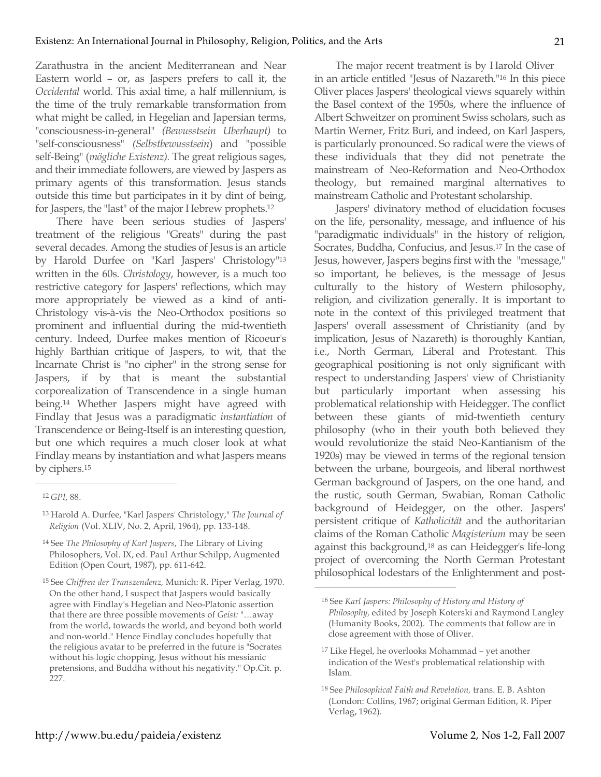Zarathustra in the ancient Mediterranean and Near Eastern world – or, as Jaspers prefers to call it, the *Occidental* world. This axial time, a half millennium, is the time of the truly remarkable transformation from what might be called, in Hegelian and Japersian terms, "consciousness-in-general" *(Bewusstsein Uberhaupt)* to "self-consciousness" *(Selbstbewusstsein*) and "possible self-Being" (*mögliche Existenz).* The great religious sages, and their immediate followers, are viewed by Jaspers as primary agents of this transformation. Jesus stands outside this time but participates in it by dint of being, for Jaspers, the "last" of the major Hebrew prophets.12

There have been serious studies of Jaspers' treatment of the religious "Greats" during the past several decades. Among the studies of Jesus is an article by Harold Durfee on "Karl Jaspers' Christology"13 written in the 60s. *Christology*, however, is a much too restrictive category for Jaspers' reflections, which may more appropriately be viewed as a kind of anti-Christology vis-à-vis the Neo-Orthodox positions so prominent and influential during the mid-twentieth century. Indeed, Durfee makes mention of Ricoeur's highly Barthian critique of Jaspers, to wit, that the Incarnate Christ is "no cipher" in the strong sense for Jaspers, if by that is meant the substantial corporealization of Transcendence in a single human being.14 Whether Jaspers might have agreed with Findlay that Jesus was a paradigmatic *instantiation* of Transcendence or Being-Itself is an interesting question, but one which requires a much closer look at what Findlay means by instantiation and what Jaspers means by ciphers.15

 $\overline{a}$ 

The major recent treatment is by Harold Oliver in an article entitled "Jesus of Nazareth."16 In this piece Oliver places Jaspers' theological views squarely within the Basel context of the 1950s, where the influence of Albert Schweitzer on prominent Swiss scholars, such as Martin Werner, Fritz Buri, and indeed, on Karl Jaspers, is particularly pronounced. So radical were the views of these individuals that they did not penetrate the mainstream of Neo-Reformation and Neo-Orthodox theology, but remained marginal alternatives to mainstream Catholic and Protestant scholarship.

Jaspers' divinatory method of elucidation focuses on the life, personality, message, and influence of his "paradigmatic individuals" in the history of religion, Socrates, Buddha, Confucius, and Jesus.17 In the case of Jesus, however, Jaspers begins first with the "message," so important, he believes, is the message of Jesus culturally to the history of Western philosophy, religion, and civilization generally. It is important to note in the context of this privileged treatment that Jaspers' overall assessment of Christianity (and by implication, Jesus of Nazareth) is thoroughly Kantian, i.e., North German, Liberal and Protestant. This geographical positioning is not only significant with respect to understanding Jaspers' view of Christianity but particularly important when assessing his problematical relationship with Heidegger. The conflict between these giants of mid-twentieth century philosophy (who in their youth both believed they would revolutionize the staid Neo-Kantianism of the 1920s) may be viewed in terms of the regional tension between the urbane, bourgeois, and liberal northwest German background of Jaspers, on the one hand, and the rustic, south German, Swabian, Roman Catholic background of Heidegger, on the other. Jaspers' persistent critique of *Katholicität* and the authoritarian claims of the Roman Catholic *Magisterium* may be seen against this background,18 as can Heidegger's life-long project of overcoming the North German Protestant philosophical lodestars of the Enlightenment and post-

<sup>12</sup> *GPI*, 88.

<sup>13</sup> Harold A. Durfee, "Karl Jaspers' Christology," *The Journal of Religion* (Vol. XLIV, No. 2, April, 1964), pp. 133-148.

<sup>14</sup> See *The Philosophy of Karl Jaspers*, The Library of Living Philosophers, Vol. IX, ed. Paul Arthur Schilpp, Augmented Edition (Open Court, 1987), pp. 611-642.

<sup>15</sup> See *Chiffren der Transzendenz,* Munich: R. Piper Verlag, 1970. On the other hand, I suspect that Jaspers would basically agree with Findlay's Hegelian and Neo-Platonic assertion that there are three possible movements of *Geist:* "…away from the world, towards the world, and beyond both world and non-world." Hence Findlay concludes hopefully that the religious avatar to be preferred in the future is "Socrates without his logic chopping, Jesus without his messianic pretensions, and Buddha without his negativity." Op.Cit. p. 227.

<sup>16</sup> See *Karl Jaspers: Philosophy of History and History of Philosophy,* edited by Joseph Koterski and Raymond Langley (Humanity Books, 2002). The comments that follow are in close agreement with those of Oliver.

<sup>17</sup> Like Hegel, he overlooks Mohammad – yet another indication of the West's problematical relationship with Islam.

<sup>18</sup> See *Philosophical Faith and Revelation,* trans. E. B. Ashton (London: Collins, 1967; original German Edition, R. Piper Verlag, 1962).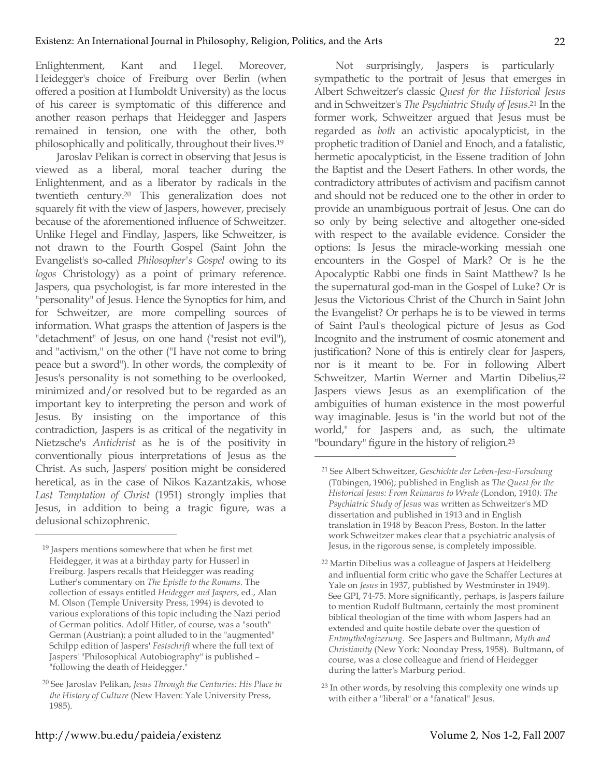Enlightenment, Kant and Hegel. Moreover, Heidegger's choice of Freiburg over Berlin (when offered a position at Humboldt University) as the locus of his career is symptomatic of this difference and another reason perhaps that Heidegger and Jaspers remained in tension, one with the other, both philosophically and politically, throughout their lives.19

Jaroslav Pelikan is correct in observing that Jesus is viewed as a liberal, moral teacher during the Enlightenment, and as a liberator by radicals in the twentieth century. <sup>20</sup> This generalization does not squarely fit with the view of Jaspers, however, precisely because of the aforementioned influence of Schweitzer. Unlike Hegel and Findlay, Jaspers, like Schweitzer, is not drawn to the Fourth Gospel (Saint John the Evangelist's so-called *Philosopher's Gospel* owing to its *logos* Christology) as a point of primary reference. Jaspers, qua psychologist, is far more interested in the "personality" of Jesus. Hence the Synoptics for him, and for Schweitzer, are more compelling sources of information. What grasps the attention of Jaspers is the "detachment" of Jesus, on one hand ("resist not evil"), and "activism," on the other ("I have not come to bring peace but a sword"). In other words, the complexity of Jesus's personality is not something to be overlooked, minimized and/or resolved but to be regarded as an important key to interpreting the person and work of Jesus. By insisting on the importance of this contradiction, Jaspers is as critical of the negativity in Nietzsche's *Antichrist* as he is of the positivity in conventionally pious interpretations of Jesus as the Christ. As such, Jaspers' position might be considered heretical, as in the case of Nikos Kazantzakis, whose *Last Temptation of Christ* (1951) strongly implies that Jesus, in addition to being a tragic figure, was a delusional schizophrenic.

Not surprisingly, Jaspers is particularly sympathetic to the portrait of Jesus that emerges in Albert Schweitzer's classic *Quest for the Historical Jesus* and in Schweitzer's *The Psychiatric Study of Jesus*. <sup>21</sup> In the former work, Schweitzer argued that Jesus must be regarded as *both* an activistic apocalypticist, in the prophetic tradition of Daniel and Enoch, and a fatalistic, hermetic apocalypticist, in the Essene tradition of John the Baptist and the Desert Fathers. In other words, the contradictory attributes of activism and pacifism cannot and should not be reduced one to the other in order to provide an unambiguous portrait of Jesus. One can do so only by being selective and altogether one-sided with respect to the available evidence. Consider the options: Is Jesus the miracle-working messiah one encounters in the Gospel of Mark? Or is he the Apocalyptic Rabbi one finds in Saint Matthew? Is he the supernatural god-man in the Gospel of Luke? Or is Jesus the Victorious Christ of the Church in Saint John the Evangelist? Or perhaps he is to be viewed in terms of Saint Paul's theological picture of Jesus as God Incognito and the instrument of cosmic atonement and justification? None of this is entirely clear for Jaspers, nor is it meant to be. For in following Albert Schweitzer, Martin Werner and Martin Dibelius,<sup>22</sup> Jaspers views Jesus as an exemplification of the ambiguities of human existence in the most powerful way imaginable. Jesus is "in the world but not of the world," for Jaspers and, as such, the ultimate "boundary" figure in the history of religion.23

 $\overline{a}$ 

<sup>19</sup> Jaspers mentions somewhere that when he first met Heidegger, it was at a birthday party for Husserl in Freiburg. Jaspers recalls that Heidegger was reading Luther's commentary on *The Epistle to the Romans.* The collection of essays entitled *Heidegger and Jaspers*, ed., Alan M. Olson (Temple University Press, 1994) is devoted to various explorations of this topic including the Nazi period of German politics. Adolf Hitler, of course, was a "south" German (Austrian); a point alluded to in the "augmented" Schilpp edition of Jaspers' *Festschrift* where the full text of Jaspers' "Philosophical Autobiography" is published – "following the death of Heidegger."

<sup>20</sup> See Jaroslav Pelikan, *Jesus Through the Centuries: His Place in the History of Culture* (New Haven: Yale University Press, 1985).

<sup>21</sup> See Albert Schweitzer, *Geschichte der Leben-Jesu-Forschung* (Tübingen, 1906); published in English as *The Quest for the Historical Jesus: From Reimarus to Wrede* (London, 1910*). The Psychiatric Study of Jesus* was written as Schweitzer's MD dissertation and published in 1913 and in English translation in 1948 by Beacon Press, Boston. In the latter work Schweitzer makes clear that a psychiatric analysis of Jesus, in the rigorous sense, is completely impossible.

<sup>22</sup> Martin Dibelius was a colleague of Jaspers at Heidelberg and influential form critic who gave the Schaffer Lectures at Yale on *Jesus* in 1937, published by Westminster in 1949). See GPI, 74-75. More significantly, perhaps, is Jaspers failure to mention Rudolf Bultmann, certainly the most prominent biblical theologian of the time with whom Jaspers had an extended and quite hostile debate over the question of *Entmythologizerung*. See Jaspers and Bultmann, *Myth and Christianity* (New York: Noonday Press, 1958). Bultmann, of course, was a close colleague and friend of Heidegger during the latter's Marburg period.

<sup>23</sup> In other words, by resolving this complexity one winds up with either a "liberal" or a "fanatical" Jesus.